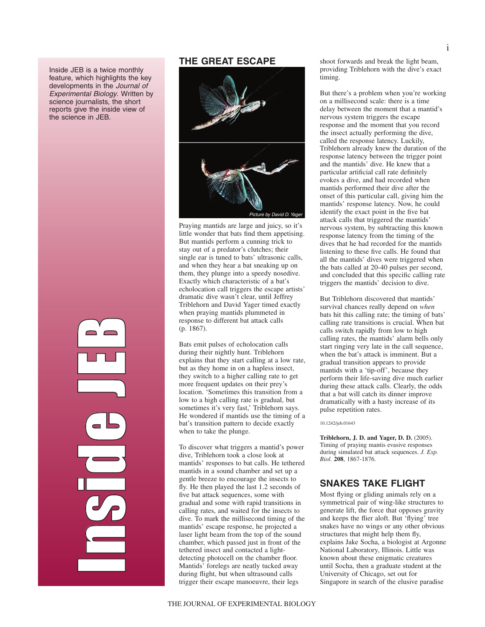Inside JEB is a twice monthly feature, which highlights the key developments in the Journal of Experimental Biology. Written by science journalists, the short reports give the inside view of the science in JEB.

> **Industrial** n $\mathcal{C}_{\mathcal{P}}$ in 1999.<br>Se provincia de la contrada de la contrada de la contrada de la contrada de la contrada de la contrada de la d<br>O e J E**PO**

## **THE GREAT ESCAPE**



Praying mantids are large and juicy, so it's little wonder that bats find them appetising. But mantids perform a cunning trick to stay out of a predator's clutches; their single ear is tuned to bats' ultrasonic calls, and when they hear a bat sneaking up on them, they plunge into a speedy nosedive. Exactly which characteristic of a bat's echolocation call triggers the escape artists' dramatic dive wasn't clear, until Jeffrey Triblehorn and David Yager timed exactly when praying mantids plummeted in response to different bat attack calls (p. 1867).

Bats emit pulses of echolocation calls during their nightly hunt. Triblehorn explains that they start calling at a low rate, but as they home in on a hapless insect, they switch to a higher calling rate to get more frequent updates on their prey's location. 'Sometimes this transition from a low to a high calling rate is gradual, but sometimes it's very fast,' Triblehorn says. He wondered if mantids use the timing of a bat's transition pattern to decide exactly when to take the plunge.

To discover what triggers a mantid's power dive, Triblehorn took a close look at mantids' responses to bat calls. He tethered mantids in a sound chamber and set up a gentle breeze to encourage the insects to fly. He then played the last 1.2 seconds of five bat attack sequences, some with gradual and some with rapid transitions in calling rates, and waited for the insects to dive. To mark the millisecond timing of the mantids' escape response, he projected a laser light beam from the top of the sound chamber, which passed just in front of the tethered insect and contacted a lightdetecting photocell on the chamber floor. Mantids' forelegs are neatly tucked away during flight, but when ultrasound calls trigger their escape manoeuvre, their legs

shoot forwards and break the light beam, providing Triblehorn with the dive's exact timing.

But there's a problem when you're working on a millisecond scale: there is a time delay between the moment that a mantid's nervous system triggers the escape response and the moment that you record the insect actually performing the dive, called the response latency. Luckily, Triblehorn already knew the duration of the response latency between the trigger point and the mantids' dive. He knew that a particular artificial call rate definitely evokes a dive, and had recorded when mantids performed their dive after the onset of this particular call, giving him the mantids' response latency. Now, he could identify the exact point in the five bat attack calls that triggered the mantids' nervous system, by subtracting this known response latency from the timing of the dives that he had recorded for the mantids listening to these five calls. He found that all the mantids' dives were triggered when the bats called at 20-40 pulses per second, and concluded that this specific calling rate triggers the mantids' decision to dive.

But Triblehorn discovered that mantids' survival chances really depend on *when* bats hit this calling rate; the timing of bats' calling rate transitions is crucial. When bat calls switch rapidly from low to high calling rates, the mantids' alarm bells only start ringing very late in the call sequence, when the bat's attack is imminent. But a gradual transition appears to provide mantids with a 'tip-off', because they perform their life-saving dive much earlier during these attack calls. Clearly, the odds that a bat will catch its dinner improve dramatically with a hasty increase of its pulse repetition rates.

10.1242/jeb.01643

**Triblehorn, J. D. and Yager, D. D.** (2005). Timing of praying mantis evasive responses during simulated bat attack sequences. *J. Exp. Biol.* **208**, 1867-1876.

## **SNAKES TAKE FLIGHT**

Most flying or gliding animals rely on a symmetrical pair of wing-like structures to generate lift, the force that opposes gravity and keeps the flier aloft. But 'flying' tree snakes have no wings or any other obvious structures that might help them fly, explains Jake Socha, a biologist at Argonne National Laboratory, Illinois. Little was known about these enigmatic creatures until Socha, then a graduate student at the University of Chicago, set out for Singapore in search of the elusive paradise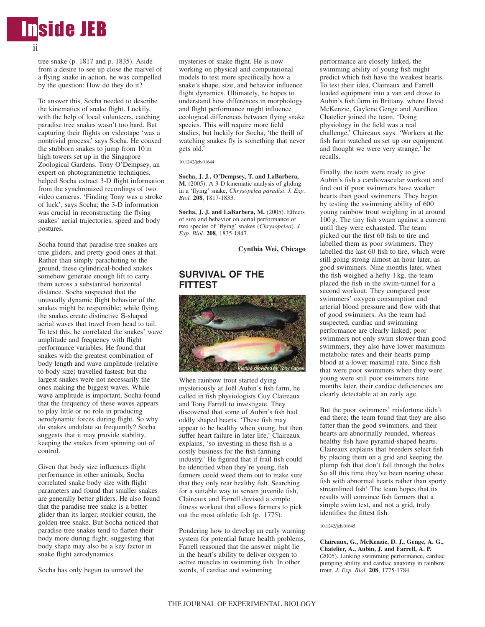

tree snake (p. 1817 and p. 1835). Aside from a desire to see up close the marvel of a flying snake in action, he was compelled by the question: How do they do it?

To answer this, Socha needed to describe the kinematics of snake flight. Luckily, with the help of local volunteers, catching paradise tree snakes wasn't too hard. But capturing their flights on videotape 'was a nontrivial process,' says Socha. He coaxed the stubborn snakes to jump from 10 m high towers set up in the Singapore Zoological Gardens. Tony O'Dempsey, an expert on photogrammetric techniques, helped Socha extract 3-D flight information from the synchronized recordings of two video cameras. 'Finding Tony was a stroke of luck', says Socha; the 3-D information was crucial in reconstructing the flying snakes' aerial trajectories, speed and body postures.

Socha found that paradise tree snakes are true gliders, and pretty good ones at that. Rather than simply parachuting to the ground, these cylindrical-bodied snakes somehow generate enough lift to carry them across a substantial horizontal distance. Socha suspected that the unusually dynamic flight behavior of the snakes might be responsible; while flying, the snakes create distinctive S-shaped aerial waves that travel from head to tail. To test this, he correlated the snakes' wave amplitude and frequency with flight performance variables. He found that snakes with the greatest combination of body length and wave amplitude (relative to body size) travelled fastest; but the largest snakes were not necessarily the ones making the biggest waves. While wave amplitude is important, Socha found that the frequency of these waves appears to play little or no role in producing aerodynamic forces during flight. So why do snakes undulate so frequently? Socha suggests that it may provide stability, keeping the snakes from spinning out of control.

Given that body size influences flight performance in other animals, Socha correlated snake body size with flight parameters and found that smaller snakes are generally better gliders. He also found that the paradise tree snake is a better glider than its larger, stockier cousin, the golden tree snake. But Socha noticed that paradise tree snakes tend to flatten their body more during flight, suggesting that body shape may also be a key factor in snake flight aerodynamics.

Socha has only begun to unravel the

mysteries of snake flight. He is now working on physical and computational models to test more specifically how a snake's shape, size, and behavior influence flight dynamics. Ultimately, he hopes to understand how differences in morphology and flight performance might influence ecological differences between flying snake species. This will require more field studies, but luckily for Socha, 'the thrill of watching snakes fly is something that never gets old.'

10.1242/jeb.01644

**Socha, J. J., O'Dempsey, T. and LaBarbera, M.** (2005). A 3-D kinematic analysis of gliding in a 'flying' snake, *Chrysopelea paradisi*. *J. Exp. Biol.* **208**, 1817-1833.

**Socha, J. J. and LaBarbera, M.** (2005). Effects of size and behavior on aerial performance of two species of 'flying' snakes (*Chrysopelea*). *J. Exp. Biol.* **208**, 1835-1847.

**Cynthia Wei, Chicago**

### **SURVIVAL OF THE FITTEST**



When rainbow trout started dying mysteriously at Joël Aubin's fish farm, he called in fish physiologists Guy Claireaux and Tony Farrell to investigate. They discovered that some of Aubin's fish had oddly shaped hearts. 'These fish may appear to be healthy when young, but then suffer heart failure in later life,' Claireaux explains, 'so investing in these fish is a costly business for the fish farming industry.' He figured that if frail fish could be identified when they're young, fish farmers could weed them out to make sure that they only rear healthy fish. Searching for a suitable way to screen juvenile fish, Claireaux and Farrell devised a simple fitness workout that allows farmers to pick out the most athletic fish (p. 1775).

Pondering how to develop an early warning system for potential future health problems, Farrell reasoned that the answer might lie in the heart's ability to deliver oxygen to active muscles in swimming fish. In other words, if cardiac and swimming

performance are closely linked, the swimming ability of young fish might predict which fish have the weakest hearts. To test their idea, Claireaux and Farrell loaded equipment into a van and drove to Aubin's fish farm in Brittany, where David McKenzie, Gaylene Genge and Aurélien Chatelier joined the team. 'Doing physiology in the field was a real challenge,' Claireaux says. 'Workers at the fish farm watched us set up our equipment and thought we were very strange,' he recalls.

Finally, the team were ready to give Aubin's fish a cardiovascular workout and find out if poor swimmers have weaker hearts than good swimmers. They began by testing the swimming ability of 600 young rainbow trout weighing in at around 100 g. The tiny fish swam against a current until they were exhausted. The team picked out the first 60 fish to tire and labelled them as poor swimmers. They labelled the last 60 fish to tire, which were still going strong almost an hour later, as good swimmers. Nine months later, when the fish weighed a hefty 1 kg, the team placed the fish in the swim-tunnel for a second workout. They compared poor swimmers' oxygen consumption and arterial blood pressure and flow with that of good swimmers. As the team had suspected, cardiac and swimming performance are clearly linked; poor swimmers not only swim slower than good swimmers, they also have lower maximum metabolic rates and their hearts pump blood at a lower maximal rate. Since fish that were poor swimmers when they were young were still poor swimmers nine months later, their cardiac deficiencies are clearly detectable at an early age.

But the poor swimmers' misfortune didn't end there; the team found that they are also fatter than the good swimmers, and their hearts are abnormally rounded, whereas healthy fish have pyramid-shaped hearts. Claireaux explains that breeders select fish by placing them on a grid and keeping the plump fish that don't fall through the holes. So all this time they've been rearing obese fish with abnormal hearts rather than sporty streamlined fish! The team hopes that its results will convince fish farmers that a simple swim test, and not a grid, truly identifies the fittest fish.

10.1242/jeb.01645

**Claireaux, G., McKenzie, D. J., Genge, A. G., Chatelier, A., Aubin, J. and Farrell, A. P.** (2005). Linking swimming performance, cardiac pumping ability and cardiac anatomy in rainbow trout. *J. Exp. Biol.* **208**, 1775-1784.